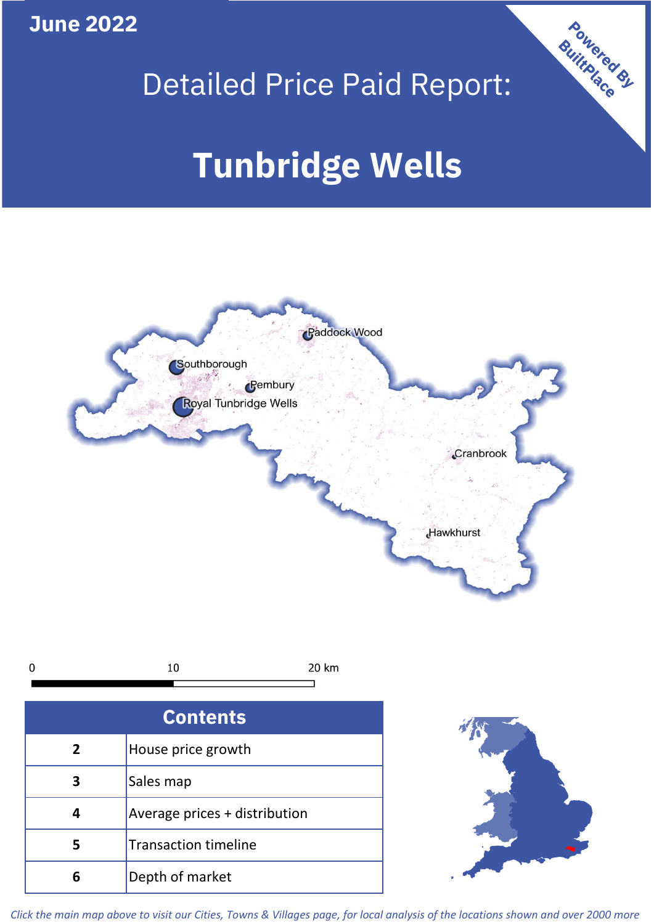**June 2022**



# Detailed Price Paid Report:

# **Tunbridge Wells**



*Click the main map above to visit our Cities, Towns & Villages page, for local analysis of the locations shown and over 2000 more*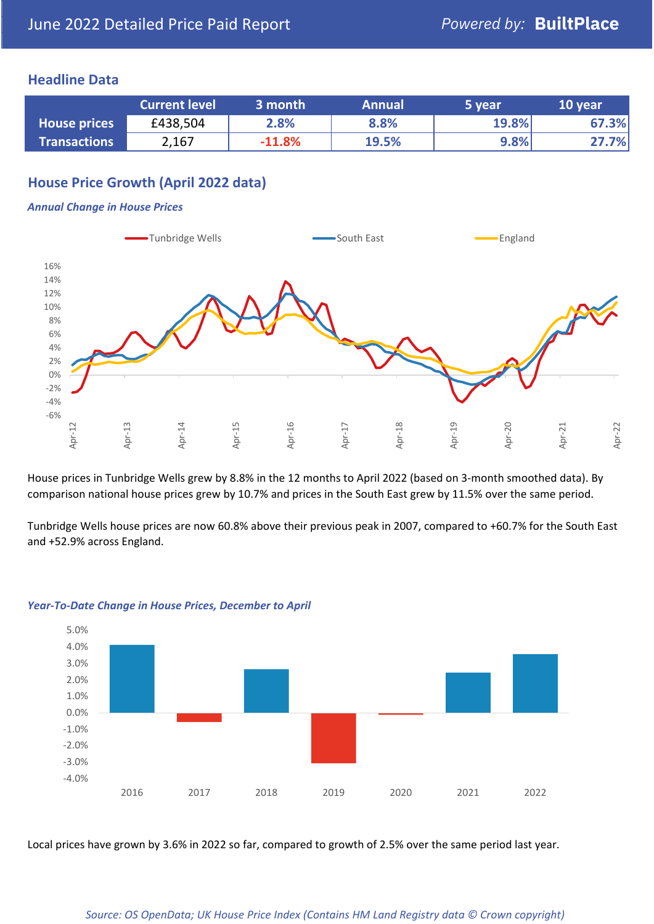#### **Headline Data**

|                     | <b>Current level</b> | 3 month  | <b>Annual</b> | 5 year | 10 year |
|---------------------|----------------------|----------|---------------|--------|---------|
| <b>House prices</b> | £438,504             | 2.8%     | 8.8%          | 19.8%  | 67.3%   |
| <b>Transactions</b> | 2,167                | $-11.8%$ | 19.5%         | 9.8%   | 27.7%   |

# **House Price Growth (April 2022 data)**

#### *Annual Change in House Prices*



House prices in Tunbridge Wells grew by 8.8% in the 12 months to April 2022 (based on 3-month smoothed data). By comparison national house prices grew by 10.7% and prices in the South East grew by 11.5% over the same period.

Tunbridge Wells house prices are now 60.8% above their previous peak in 2007, compared to +60.7% for the South East and +52.9% across England.



#### *Year-To-Date Change in House Prices, December to April*

Local prices have grown by 3.6% in 2022 so far, compared to growth of 2.5% over the same period last year.

#### *Source: OS OpenData; UK House Price Index (Contains HM Land Registry data © Crown copyright)*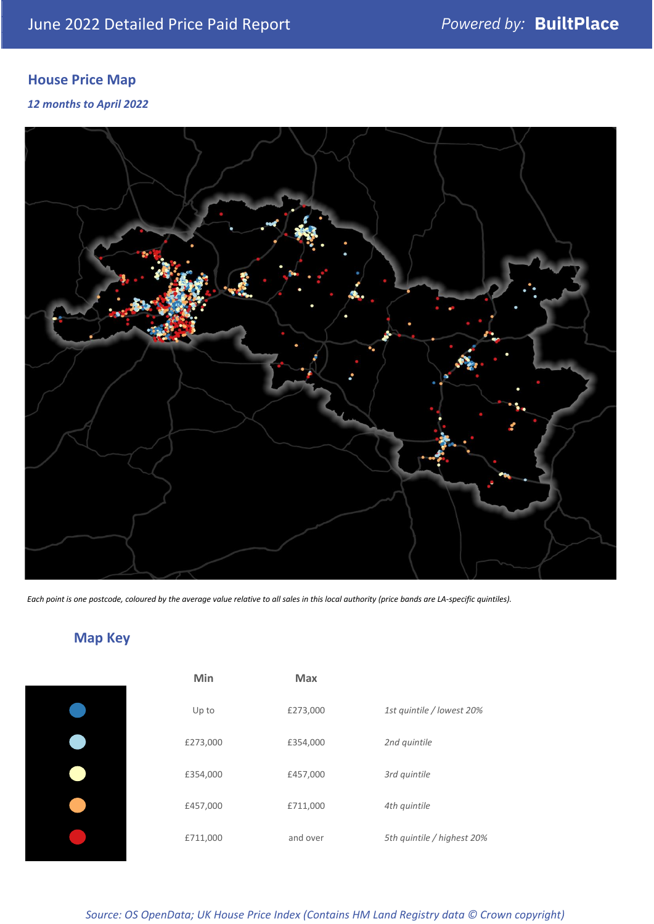# **House Price Map**

#### *12 months to April 2022*



*Each point is one postcode, coloured by the average value relative to all sales in this local authority (price bands are LA-specific quintiles).*

**Map Key**

| Min      | <b>Max</b> |                            |
|----------|------------|----------------------------|
| Up to    | £273,000   | 1st quintile / lowest 20%  |
| £273,000 | £354,000   | 2nd quintile               |
| £354,000 | £457,000   | 3rd quintile               |
| £457,000 | £711,000   | 4th quintile               |
| £711,000 | and over   | 5th quintile / highest 20% |

#### *Source: OS OpenData; UK House Price Index (Contains HM Land Registry data © Crown copyright)*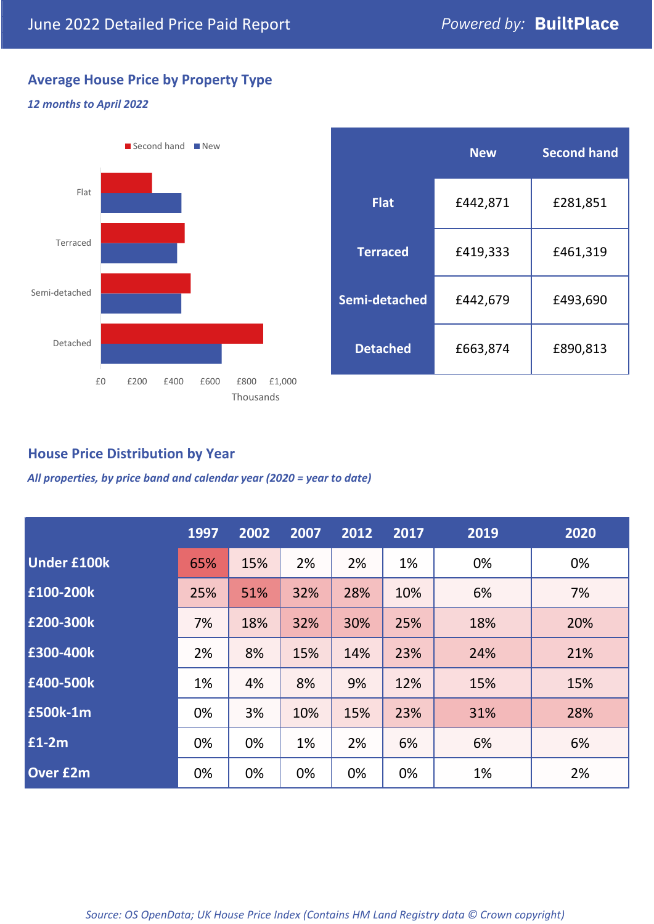# **Average House Price by Property Type**

#### *12 months to April 2022*



|                 | <b>New</b> | <b>Second hand</b> |  |  |
|-----------------|------------|--------------------|--|--|
| <b>Flat</b>     | £442,871   | £281,851           |  |  |
| <b>Terraced</b> | £419,333   | £461,319           |  |  |
| Semi-detached   | £442,679   | £493,690           |  |  |
| <b>Detached</b> | £663,874   | £890,813           |  |  |

## **House Price Distribution by Year**

*All properties, by price band and calendar year (2020 = year to date)*

|                    | 1997 | 2002 | 2007 | 2012 | 2017 | 2019 | 2020 |
|--------------------|------|------|------|------|------|------|------|
| <b>Under £100k</b> | 65%  | 15%  | 2%   | 2%   | 1%   | 0%   | 0%   |
| £100-200k          | 25%  | 51%  | 32%  | 28%  | 10%  | 6%   | 7%   |
| E200-300k          | 7%   | 18%  | 32%  | 30%  | 25%  | 18%  | 20%  |
| £300-400k          | 2%   | 8%   | 15%  | 14%  | 23%  | 24%  | 21%  |
| £400-500k          | 1%   | 4%   | 8%   | 9%   | 12%  | 15%  | 15%  |
| £500k-1m           | 0%   | 3%   | 10%  | 15%  | 23%  | 31%  | 28%  |
| £1-2m              | 0%   | 0%   | 1%   | 2%   | 6%   | 6%   | 6%   |
| <b>Over £2m</b>    | 0%   | 0%   | 0%   | 0%   | 0%   | 1%   | 2%   |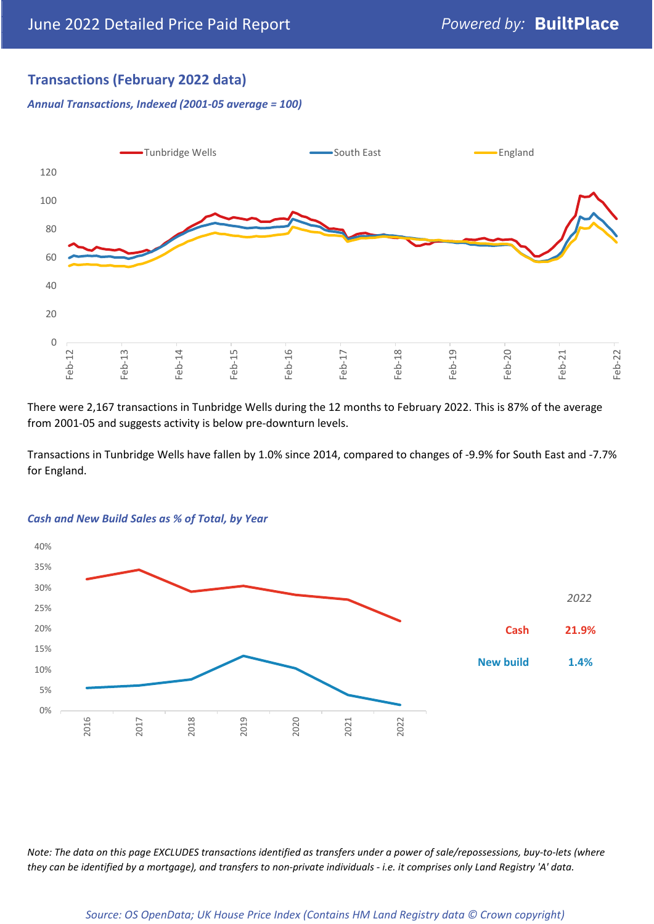## **Transactions (February 2022 data)**

*Annual Transactions, Indexed (2001-05 average = 100)*



There were 2,167 transactions in Tunbridge Wells during the 12 months to February 2022. This is 87% of the average from 2001-05 and suggests activity is below pre-downturn levels.

Transactions in Tunbridge Wells have fallen by 1.0% since 2014, compared to changes of -9.9% for South East and -7.7% for England.



#### *Cash and New Build Sales as % of Total, by Year*

*Note: The data on this page EXCLUDES transactions identified as transfers under a power of sale/repossessions, buy-to-lets (where they can be identified by a mortgage), and transfers to non-private individuals - i.e. it comprises only Land Registry 'A' data.*